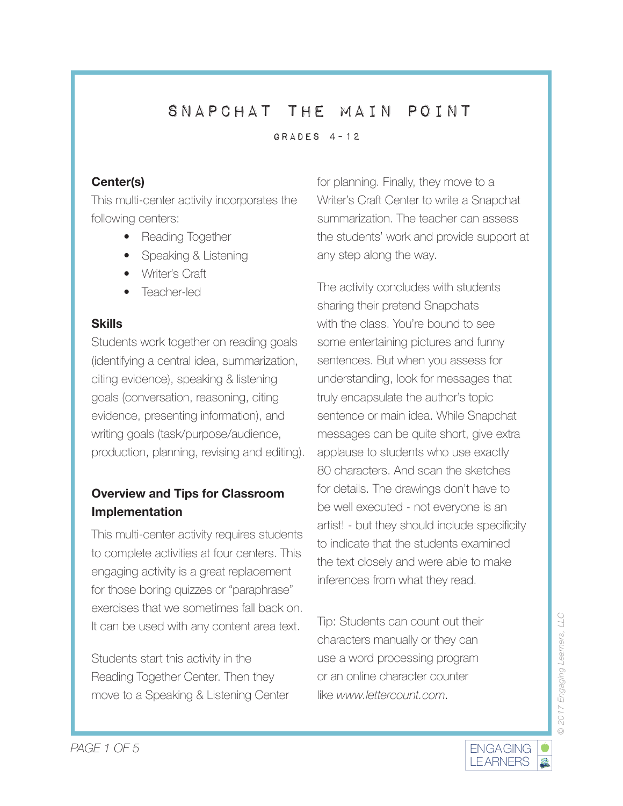Grades 4-12

# **Center(s)**

This multi-center activity incorporates the following centers:

- Reading Together
- Speaking & Listening
- Writer's Craft
- Teacher-led

#### **Skills**

Students work together on reading goals (identifying a central idea, summarization, citing evidence), speaking & listening goals (conversation, reasoning, citing evidence, presenting information), and writing goals (task/purpose/audience, production, planning, revising and editing).

# **Overview and Tips for Classroom Implementation**

This multi-center activity requires students to complete activities at four centers. This engaging activity is a great replacement for those boring quizzes or "paraphrase" exercises that we sometimes fall back on. It can be used with any content area text.

Students start this activity in the Reading Together Center. Then they move to a Speaking & Listening Center

for planning. Finally, they move to a Writer's Craft Center to write a Snapchat summarization. The teacher can assess the students' work and provide support at any step along the way.

The activity concludes with students sharing their pretend Snapchats with the class. You're bound to see some entertaining pictures and funny sentences. But when you assess for understanding, look for messages that truly encapsulate the author's topic sentence or main idea. While Snapchat messages can be quite short, give extra applause to students who use exactly 80 characters. And scan the sketches for details. The drawings don't have to be well executed - not everyone is an artist! - but they should include specificity to indicate that the students examined the text closely and were able to make inferences from what they read.

Tip: Students can count out their characters manually or they can use a word processing program or an online character counter like *www.lettercount.com*.

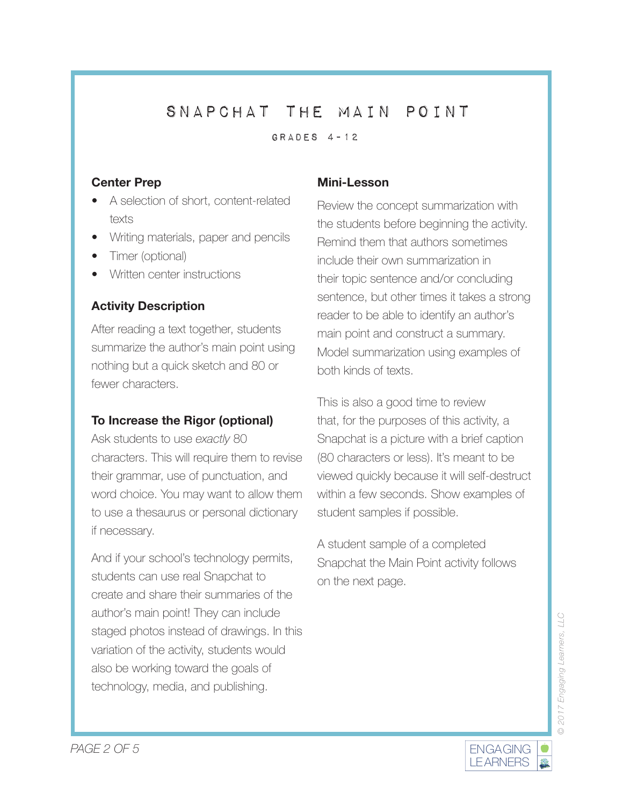Grades 4-12

### **Center Prep**

- A selection of short, content-related texts
- Writing materials, paper and pencils
- Timer (optional)
- Written center instructions

# **Activity Description**

After reading a text together, students summarize the author's main point using nothing but a quick sketch and 80 or fewer characters.

## **To Increase the Rigor (optional)**

Ask students to use *exactly* 80 characters. This will require them to revise their grammar, use of punctuation, and word choice. You may want to allow them to use a thesaurus or personal dictionary if necessary.

And if your school's technology permits, students can use real Snapchat to create and share their summaries of the author's main point! They can include staged photos instead of drawings. In this variation of the activity, students would also be working toward the goals of technology, media, and publishing.

## **Mini-Lesson**

Review the concept summarization with the students before beginning the activity. Remind them that authors sometimes include their own summarization in their topic sentence and/or concluding sentence, but other times it takes a strong reader to be able to identify an author's main point and construct a summary. Model summarization using examples of both kinds of texts.

This is also a good time to review that, for the purposes of this activity, a Snapchat is a picture with a brief caption (80 characters or less). It's meant to be viewed quickly because it will self-destruct within a few seconds. Show examples of student samples if possible.

A student sample of a completed Snapchat the Main Point activity follows on the next page.

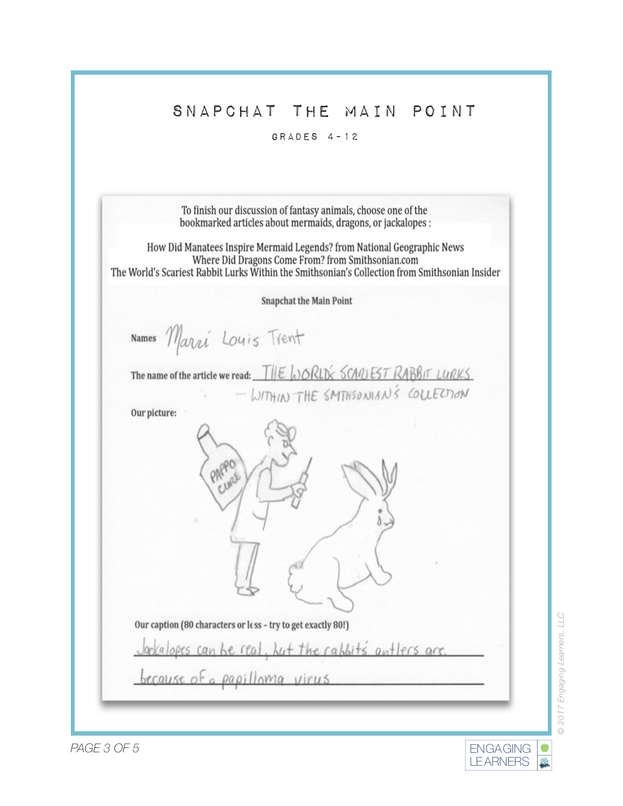#### Grades 4-12

| bookmarked articles about mermaids, dragons, or jackalopes :                                                                                                                                                                   |
|--------------------------------------------------------------------------------------------------------------------------------------------------------------------------------------------------------------------------------|
| How Did Manatees Inspire Mermaid Legends? from National Geographic News<br>Where Did Dragons Come From? from Smithsonian.com<br>The World's Scariest Rabbit Lurks Within the Smithsonian's Collection from Smithsonian Insider |
| <b>Snapchat the Main Point</b>                                                                                                                                                                                                 |
| Names Marri Louis Trent                                                                                                                                                                                                        |
| The name of the article we read: THE WORLD'S SCANLEST RABBIT LURKS<br>WITHIN THE SMITHSONIAN'S COLLECTION                                                                                                                      |
| Our picture:                                                                                                                                                                                                                   |
|                                                                                                                                                                                                                                |
|                                                                                                                                                                                                                                |
| Our caption (80 characters or less - try to get exactly 80!)                                                                                                                                                                   |
| Jackalopes can be real, but the rabbits antlers are                                                                                                                                                                            |
| <u>because of a papilloma</u> virus                                                                                                                                                                                            |

© 2017 Engaging Learners, LLC *© 2017 Engaging Learners, LLC*

LEARNERS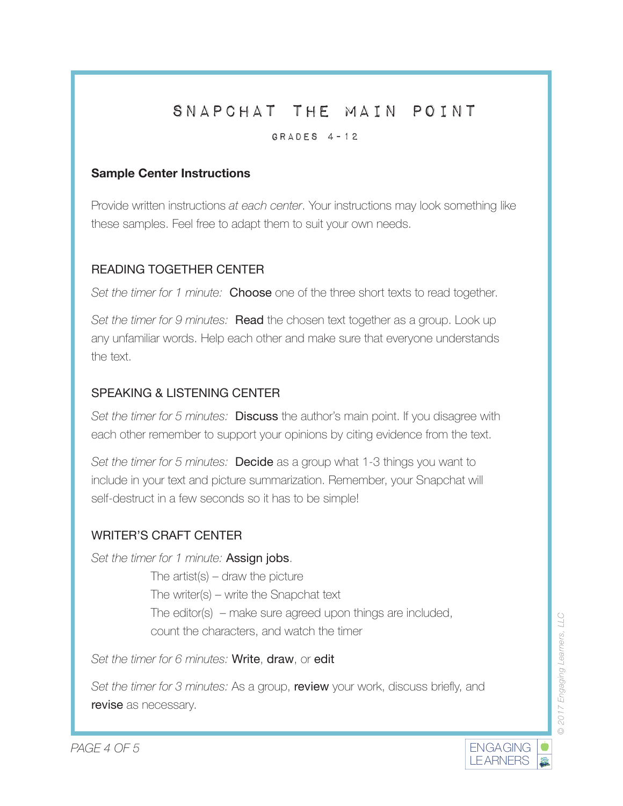### Grades 4-12

### **Sample Center Instructions**

Provide written instructions *at each center*. Your instructions may look something like these samples. Feel free to adapt them to suit your own needs.

## READING TOGETHER CENTER

*Set the timer for 1 minute:* Choose one of the three short texts to read together.

*Set the timer for 9 minutes:* **Read** the chosen text together as a group. Look up any unfamiliar words. Help each other and make sure that everyone understands the text.

# SPEAKING & LISTENING CENTER

*Set the timer for 5 minutes:* Discuss the author's main point. If you disagree with each other remember to support your opinions by citing evidence from the text.

*Set the timer for 5 minutes:* Decide as a group what 1-3 things you want to include in your text and picture summarization. Remember, your Snapchat will self-destruct in a few seconds so it has to be simple!

## WRITER'S CRAFT CENTER

*Set the timer for 1 minute:* Assign jobs.

The artist(s)  $-$  draw the picture The writer(s) – write the Snapchat text The editor(s) – make sure agreed upon things are included, count the characters, and watch the timer

*Set the timer for 6 minutes:* Write, draw, or edit

*Set the timer for 3 minutes:* As a group, review your work, discuss briefly, and revise as necessary.